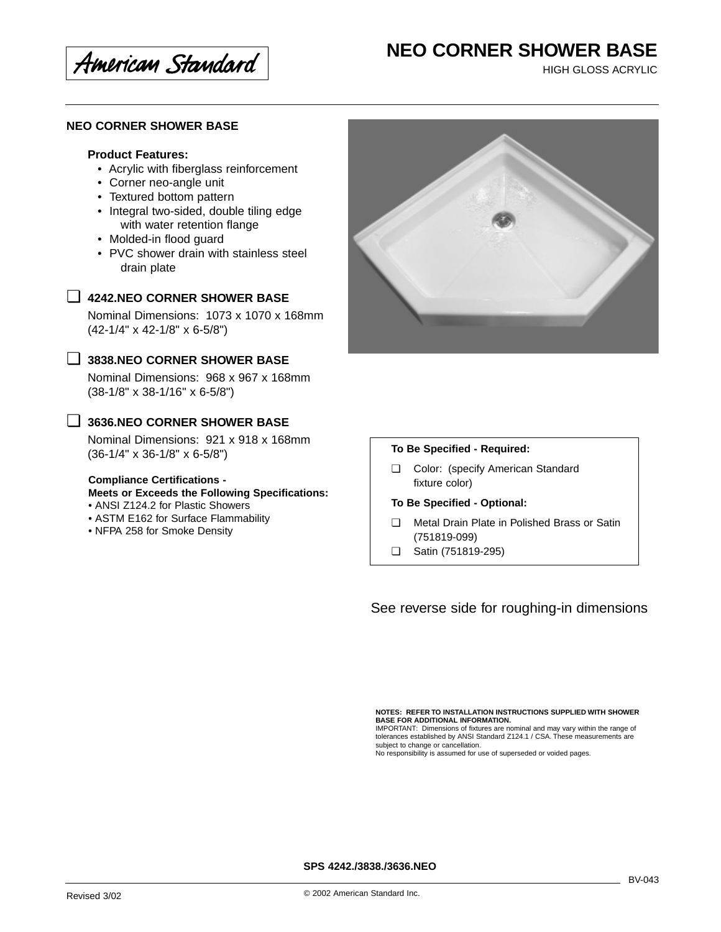American Standard

# **NEO CORNER SHOWER BASE**

HIGH GLOSS ACRYLIC

### **NEO CORNER SHOWER BASE**

### **Product Features:**

- Acrylic with fiberglass reinforcement
- Corner neo-angle unit
- Textured bottom pattern
- Integral two-sided, double tiling edge with water retention flange
- Molded-in flood guard
- PVC shower drain with stainless steel drain plate



## ❏ **4242.NEO CORNER SHOWER BASE**

Nominal Dimensions: 1073 x 1070 x 168mm (42-1/4" x 42-1/8" x 6-5/8")

## ❏ **3838.NEO CORNER SHOWER BASE**

Nominal Dimensions: 968 x 967 x 168mm (38-1/8" x 38-1/16" x 6-5/8")

## ❏ **3636.NEO CORNER SHOWER BASE**

Nominal Dimensions: 921 x 918 x 168mm (36-1/4" x 36-1/8" x 6-5/8")

#### **Compliance Certifications -**

**Meets or Exceeds the Following Specifications:**

- ANSI Z124.2 for Plastic Showers
- ASTM E162 for Surface Flammability
- NFPA 258 for Smoke Density

#### **To Be Specified - Required:**

❏ Color: (specify American Standard fixture color)

#### **To Be Specified - Optional:**

- ❏ Metal Drain Plate in Polished Brass or Satin (751819-099)
- ❏ Satin (751819-295)

See reverse side for roughing-in dimensions

**NOTES: REFER TO INSTALLATION INSTRUCTIONS SUPPLIED WITH SHOWER**

**BASE FOR ADDITIONAL INFORMATION.** IMPORTANT: Dimensions of fixtures are nominal and may vary within the range of tolerances established by ANSI Standard Z124.1 / CSA. These measurements are subject to change or cancellation. No responsibility is assumed for use of superseded or voided pages.

**SPS 4242./3838./3636.NEO**